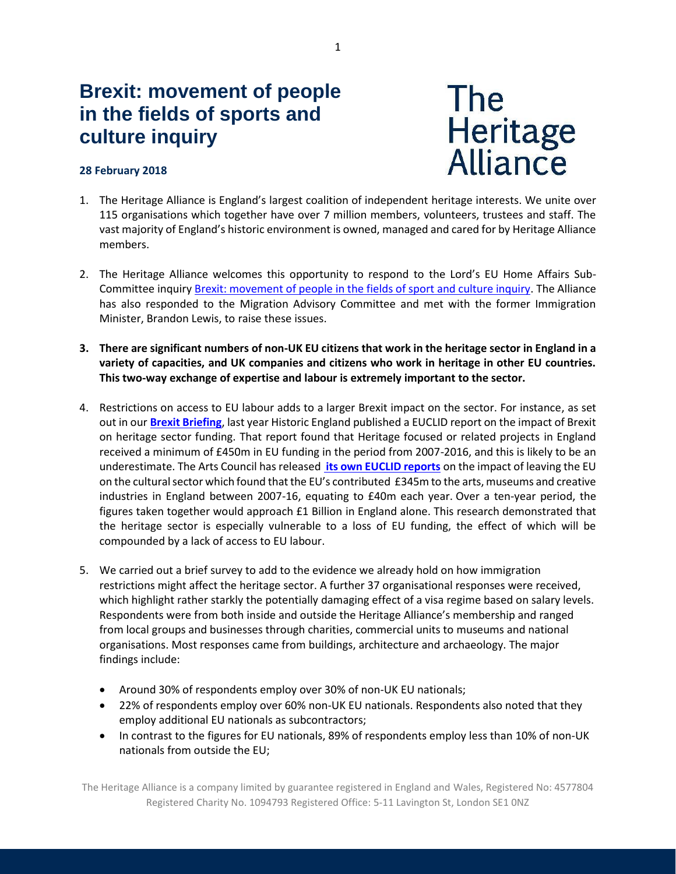# **Brexit: movement of people in the fields of sports and culture inquiry**

## **28 February 2018**



- 1. The Heritage Alliance is England's largest coalition of independent heritage interests. We unite over 115 organisations which together have over 7 million members, volunteers, trustees and staff. The vast majority of England's historic environment is owned, managed and cared for by Heritage Alliance members.
- 2. The Heritage Alliance welcomes this opportunity to respond to the Lord's EU Home Affairs Sub-Committee inquiry [Brexit: movement of people in the fields of sport and culture inquiry.](https://www.parliament.uk/business/committees/committees-a-z/lords-select/eu-home-affairs-subcommittee/inquiries/parliament-2017/brexit-movement-of-people-in-the-fields-of-sport-and-culture/) The Alliance has also responded to the Migration Advisory Committee and met with the former Immigration Minister, Brandon Lewis, to raise these issues.
- **3. There are significant numbers of non-UK EU citizens that work in the heritage sector in England in a variety of capacities, and UK companies and citizens who work in heritage in other EU countries. This two-way exchange of expertise and labour is extremely important to the sector.**
- 4. Restrictions on access to EU labour adds to a larger Brexit impact on the sector. For instance, as set out in our **[Brexit Briefing](http://email.premmdesign.co.uk/t/r-l-jyllktyk-kiikhydjil-q/)**, last year Historic England published a EUCLID report on the impact of Brexit on heritage sector funding. That report found that Heritage focused or related projects in England received a minimum of £450m in EU funding in the period from 2007-2016, and this is likely to be an underestimate. The Arts Council has released **[its own EUCLID reports](http://email.premmdesign.co.uk/t/r-l-jyllktyk-kiikhydjil-c/)** on the impact of leaving the EU on the cultural sector which found that the EU's contributed £345m to the arts, museums and creative industries in England between 2007-16, equating to £40m each year. Over a ten-year period, the figures taken together would approach £1 Billion in England alone. This research demonstrated that the heritage sector is especially vulnerable to a loss of EU funding, the effect of which will be compounded by a lack of access to EU labour.
- 5. We carried out a brief survey to add to the evidence we already hold on how immigration restrictions might affect the heritage sector. A further 37 organisational responses were received, which highlight rather starkly the potentially damaging effect of a visa regime based on salary levels. Respondents were from both inside and outside the Heritage Alliance's membership and ranged from local groups and businesses through charities, commercial units to museums and national organisations. Most responses came from buildings, architecture and archaeology. The major findings include:
	- Around 30% of respondents employ over 30% of non-UK EU nationals;
	- 22% of respondents employ over 60% non-UK EU nationals. Respondents also noted that they employ additional EU nationals as subcontractors;
	- In contrast to the figures for EU nationals, 89% of respondents employ less than 10% of non-UK nationals from outside the EU;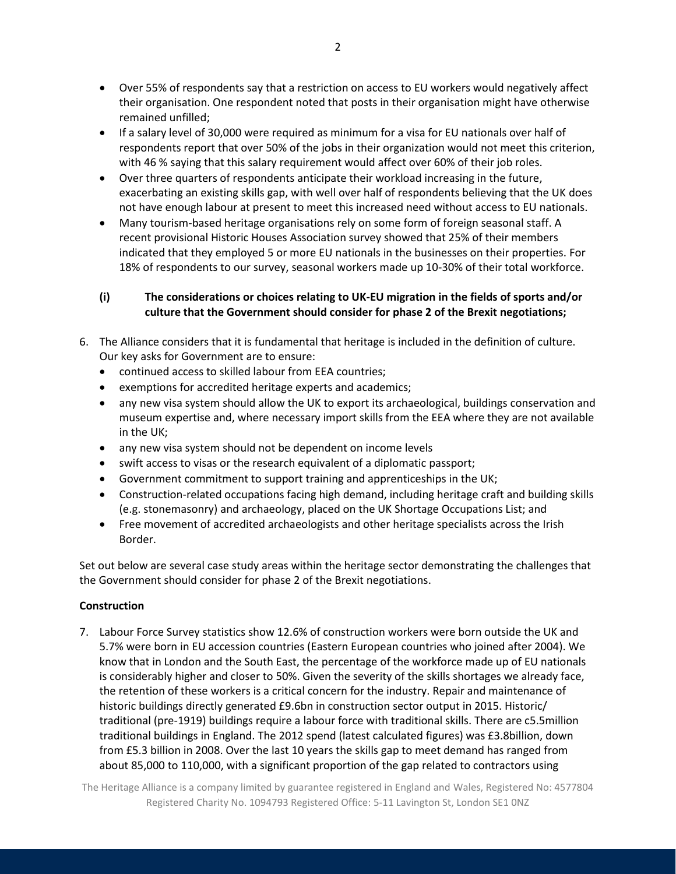- Over 55% of respondents say that a restriction on access to EU workers would negatively affect their organisation. One respondent noted that posts in their organisation might have otherwise remained unfilled;
- If a salary level of 30,000 were required as minimum for a visa for EU nationals over half of respondents report that over 50% of the jobs in their organization would not meet this criterion, with 46 % saying that this salary requirement would affect over 60% of their job roles.
- Over three quarters of respondents anticipate their workload increasing in the future, exacerbating an existing skills gap, with well over half of respondents believing that the UK does not have enough labour at present to meet this increased need without access to EU nationals.
- Many tourism-based heritage organisations rely on some form of foreign seasonal staff. A recent provisional Historic Houses Association survey showed that 25% of their members indicated that they employed 5 or more EU nationals in the businesses on their properties. For 18% of respondents to our survey, seasonal workers made up 10-30% of their total workforce.

# **(i) The considerations or choices relating to UK-EU migration in the fields of sports and/or culture that the Government should consider for phase 2 of the Brexit negotiations;**

- 6. The Alliance considers that it is fundamental that heritage is included in the definition of culture. Our key asks for Government are to ensure:
	- continued access to skilled labour from EEA countries;
	- exemptions for accredited heritage experts and academics;
	- any new visa system should allow the UK to export its archaeological, buildings conservation and museum expertise and, where necessary import skills from the EEA where they are not available in the UK;
	- any new visa system should not be dependent on income levels
	- swift access to visas or the research equivalent of a diplomatic passport;
	- Government commitment to support training and apprenticeships in the UK;
	- Construction-related occupations facing high demand, including heritage craft and building skills (e.g. stonemasonry) and archaeology, placed on the UK Shortage Occupations List; and
	- Free movement of accredited archaeologists and other heritage specialists across the Irish Border.

Set out below are several case study areas within the heritage sector demonstrating the challenges that the Government should consider for phase 2 of the Brexit negotiations.

# **Construction**

7. Labour Force Survey statistics show 12.6% of construction workers were born outside the UK and 5.7% were born in EU accession countries (Eastern European countries who joined after 2004). We know that in London and the South East, the percentage of the workforce made up of EU nationals is considerably higher and closer to 50%. Given the severity of the skills shortages we already face, the retention of these workers is a critical concern for the industry. Repair and maintenance of historic buildings directly generated £9.6bn in construction sector output in 2015. Historic/ traditional (pre-1919) buildings require a labour force with traditional skills. There are c5.5million traditional buildings in England. The 2012 spend (latest calculated figures) was £3.8billion, down from £5.3 billion in 2008. Over the last 10 years the skills gap to meet demand has ranged from about 85,000 to 110,000, with a significant proportion of the gap related to contractors using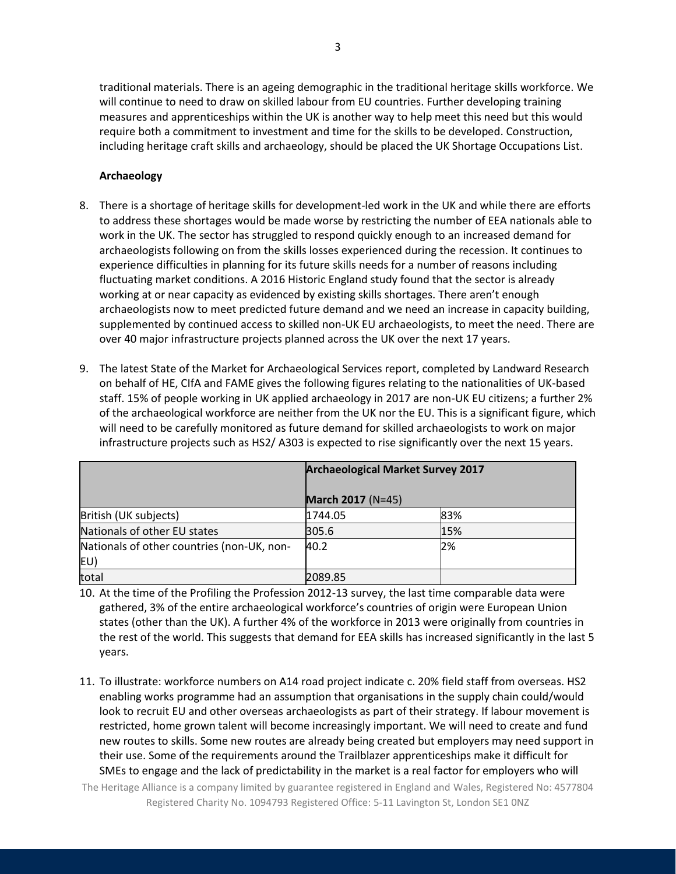traditional materials. There is an ageing demographic in the traditional heritage skills workforce. We will continue to need to draw on skilled labour from EU countries. Further developing training measures and apprenticeships within the UK is another way to help meet this need but this would require both a commitment to investment and time for the skills to be developed. Construction, including heritage craft skills and archaeology, should be placed the UK Shortage Occupations List.

## **Archaeology**

- 8. There is a shortage of heritage skills for development-led work in the UK and while there are efforts to address these shortages would be made worse by restricting the number of EEA nationals able to work in the UK. The sector has struggled to respond quickly enough to an increased demand for archaeologists following on from the skills losses experienced during the recession. It continues to experience difficulties in planning for its future skills needs for a number of reasons including fluctuating market conditions. A 2016 Historic England study found that the sector is already working at or near capacity as evidenced by existing skills shortages. There aren't enough archaeologists now to meet predicted future demand and we need an increase in capacity building, supplemented by continued access to skilled non-UK EU archaeologists, to meet the need. There are over 40 major infrastructure projects planned across the UK over the next 17 years.
- 9. The latest State of the Market for Archaeological Services report, completed by Landward Research on behalf of HE, CIfA and FAME gives the following figures relating to the nationalities of UK-based staff. 15% of people working in UK applied archaeology in 2017 are non-UK EU citizens; a further 2% of the archaeological workforce are neither from the UK nor the EU. This is a significant figure, which will need to be carefully monitored as future demand for skilled archaeologists to work on major infrastructure projects such as HS2/ A303 is expected to rise significantly over the next 15 years.

|                                                   | <b>Archaeological Market Survey 2017</b><br><b>March 2017</b> (N=45) |     |
|---------------------------------------------------|----------------------------------------------------------------------|-----|
|                                                   |                                                                      |     |
| British (UK subjects)                             | 1744.05                                                              | 83% |
| Nationals of other EU states                      | 305.6                                                                | 15% |
| Nationals of other countries (non-UK, non-<br>EU) | 40.2                                                                 | 2%  |
| total                                             | 2089.85                                                              |     |

- 10. At the time of the Profiling the Profession 2012-13 survey, the last time comparable data were gathered, 3% of the entire archaeological workforce's countries of origin were European Union states (other than the UK). A further 4% of the workforce in 2013 were originally from countries in the rest of the world. This suggests that demand for EEA skills has increased significantly in the last 5 years.
- 11. To illustrate: workforce numbers on A14 road project indicate c. 20% field staff from overseas. HS2 enabling works programme had an assumption that organisations in the supply chain could/would look to recruit EU and other overseas archaeologists as part of their strategy. If labour movement is restricted, home grown talent will become increasingly important. We will need to create and fund new routes to skills. Some new routes are already being created but employers may need support in their use. Some of the requirements around the Trailblazer apprenticeships make it difficult for SMEs to engage and the lack of predictability in the market is a real factor for employers who will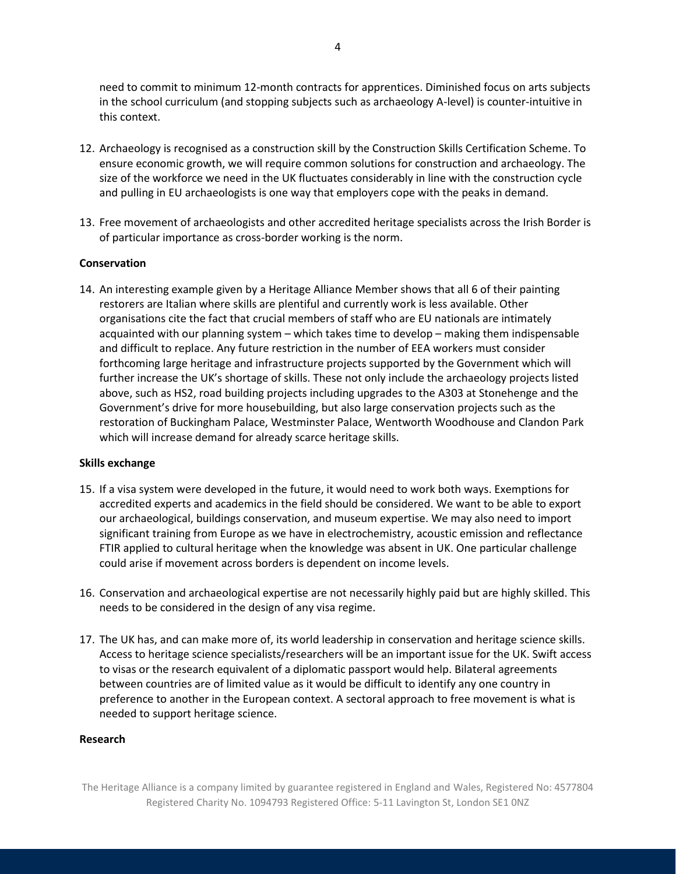need to commit to minimum 12-month contracts for apprentices. Diminished focus on arts subjects in the school curriculum (and stopping subjects such as archaeology A-level) is counter-intuitive in this context.

- 12. Archaeology is recognised as a construction skill by the Construction Skills Certification Scheme. To ensure economic growth, we will require common solutions for construction and archaeology. The size of the workforce we need in the UK fluctuates considerably in line with the construction cycle and pulling in EU archaeologists is one way that employers cope with the peaks in demand.
- 13. Free movement of archaeologists and other accredited heritage specialists across the Irish Border is of particular importance as cross-border working is the norm.

### **Conservation**

14. An interesting example given by a Heritage Alliance Member shows that all 6 of their painting restorers are Italian where skills are plentiful and currently work is less available. Other organisations cite the fact that crucial members of staff who are EU nationals are intimately acquainted with our planning system – which takes time to develop – making them indispensable and difficult to replace. Any future restriction in the number of EEA workers must consider forthcoming large heritage and infrastructure projects supported by the Government which will further increase the UK's shortage of skills. These not only include the archaeology projects listed above, such as HS2, road building projects including upgrades to the A303 at Stonehenge and the Government's drive for more housebuilding, but also large conservation projects such as the restoration of Buckingham Palace, Westminster Palace, Wentworth Woodhouse and Clandon Park which will increase demand for already scarce heritage skills.

### **Skills exchange**

- 15. If a visa system were developed in the future, it would need to work both ways. Exemptions for accredited experts and academics in the field should be considered. We want to be able to export our archaeological, buildings conservation, and museum expertise. We may also need to import significant training from Europe as we have in electrochemistry, acoustic emission and reflectance FTIR applied to cultural heritage when the knowledge was absent in UK. One particular challenge could arise if movement across borders is dependent on income levels.
- 16. Conservation and archaeological expertise are not necessarily highly paid but are highly skilled. This needs to be considered in the design of any visa regime.
- 17. The UK has, and can make more of, its world leadership in conservation and heritage science skills. Access to heritage science specialists/researchers will be an important issue for the UK. Swift access to visas or the research equivalent of a diplomatic passport would help. Bilateral agreements between countries are of limited value as it would be difficult to identify any one country in preference to another in the European context. A sectoral approach to free movement is what is needed to support heritage science.

### **Research**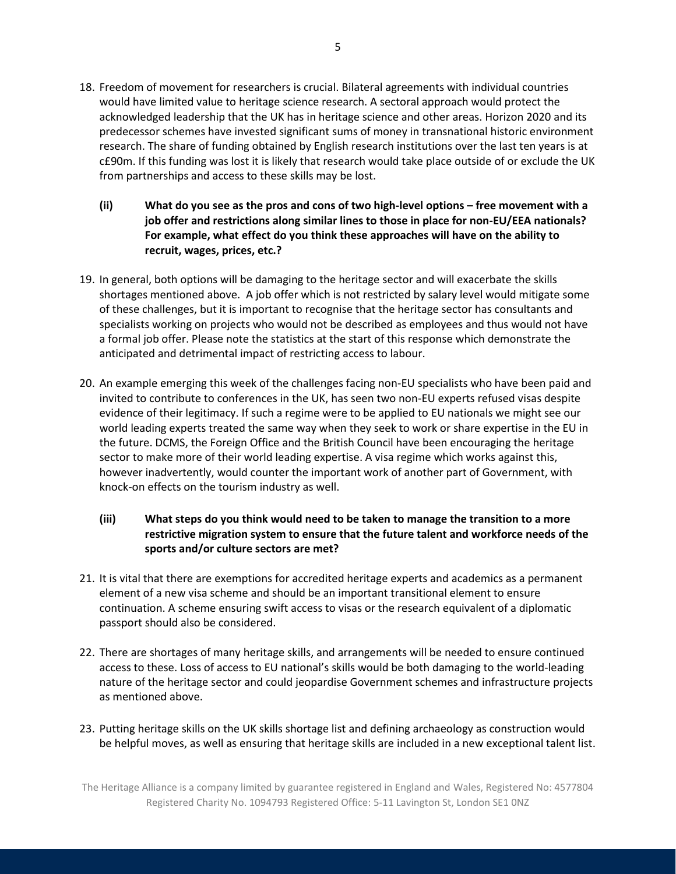- 18. Freedom of movement for researchers is crucial. Bilateral agreements with individual countries would have limited value to heritage science research. A sectoral approach would protect the acknowledged leadership that the UK has in heritage science and other areas. Horizon 2020 and its predecessor schemes have invested significant sums of money in transnational historic environment research. The share of funding obtained by English research institutions over the last ten years is at c£90m. If this funding was lost it is likely that research would take place outside of or exclude the UK from partnerships and access to these skills may be lost.
	- **(ii) What do you see as the pros and cons of two high-level options – free movement with a job offer and restrictions along similar lines to those in place for non-EU/EEA nationals? For example, what effect do you think these approaches will have on the ability to recruit, wages, prices, etc.?**
- 19. In general, both options will be damaging to the heritage sector and will exacerbate the skills shortages mentioned above. A job offer which is not restricted by salary level would mitigate some of these challenges, but it is important to recognise that the heritage sector has consultants and specialists working on projects who would not be described as employees and thus would not have a formal job offer. Please note the statistics at the start of this response which demonstrate the anticipated and detrimental impact of restricting access to labour.
- 20. An example emerging this week of the challenges facing non-EU specialists who have been paid and invited to contribute to conferences in the UK, has seen two non-EU experts refused visas despite evidence of their legitimacy. If such a regime were to be applied to EU nationals we might see our world leading experts treated the same way when they seek to work or share expertise in the EU in the future. DCMS, the Foreign Office and the British Council have been encouraging the heritage sector to make more of their world leading expertise. A visa regime which works against this, however inadvertently, would counter the important work of another part of Government, with knock-on effects on the tourism industry as well.
	- **(iii) What steps do you think would need to be taken to manage the transition to a more restrictive migration system to ensure that the future talent and workforce needs of the sports and/or culture sectors are met?**
- 21. It is vital that there are exemptions for accredited heritage experts and academics as a permanent element of a new visa scheme and should be an important transitional element to ensure continuation. A scheme ensuring swift access to visas or the research equivalent of a diplomatic passport should also be considered.
- 22. There are shortages of many heritage skills, and arrangements will be needed to ensure continued access to these. Loss of access to EU national's skills would be both damaging to the world-leading nature of the heritage sector and could jeopardise Government schemes and infrastructure projects as mentioned above.
- 23. Putting heritage skills on the UK skills shortage list and defining archaeology as construction would be helpful moves, as well as ensuring that heritage skills are included in a new exceptional talent list.